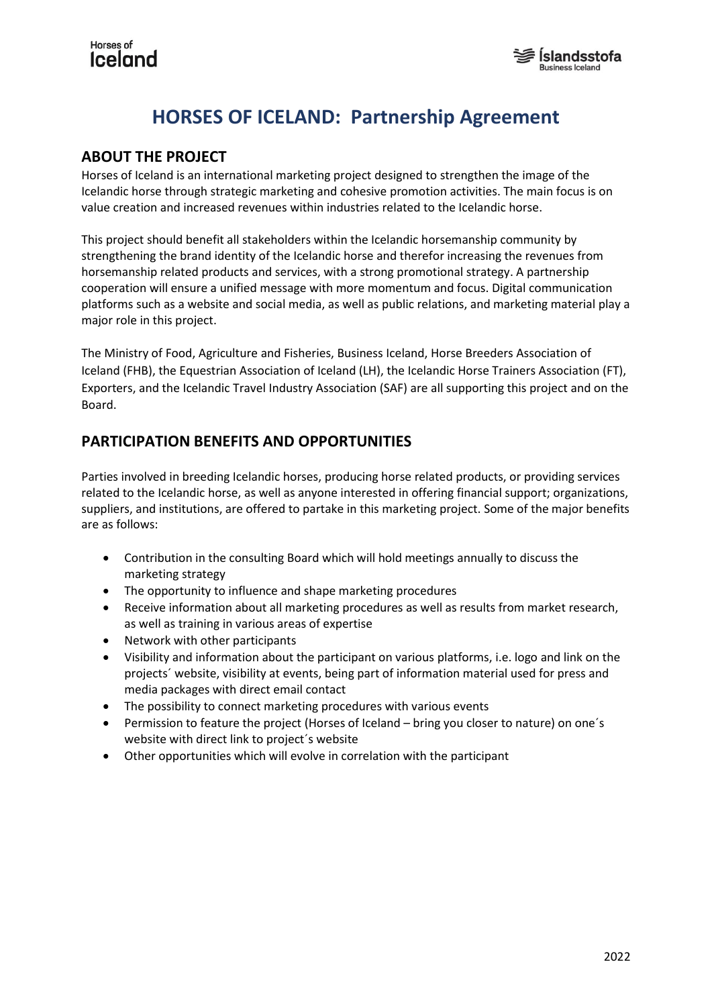## Horses of **Iceland**



## **HORSES OF ICELAND: Partnership Agreement**

## **ABOUT THE PROJECT**

Horses of Iceland is an international marketing project designed to strengthen the image of the Icelandic horse through strategic marketing and cohesive promotion activities. The main focus is on value creation and increased revenues within industries related to the Icelandic horse.

This project should benefit all stakeholders within the Icelandic horsemanship community by strengthening the brand identity of the Icelandic horse and therefor increasing the revenues from horsemanship related products and services, with a strong promotional strategy. A partnership cooperation will ensure a unified message with more momentum and focus. Digital communication platforms such as a website and social media, as well as public relations, and marketing material play a major role in this project.

The Ministry of Food, Agriculture and Fisheries, Business Iceland, Horse Breeders Association of Iceland (FHB), the Equestrian Association of Iceland (LH), the Icelandic Horse Trainers Association (FT), Exporters, and the Icelandic Travel Industry Association (SAF) are all supporting this project and on the Board.

## **PARTICIPATION BENEFITS AND OPPORTUNITIES**

Parties involved in breeding Icelandic horses, producing horse related products, or providing services related to the Icelandic horse, as well as anyone interested in offering financial support; organizations, suppliers, and institutions, are offered to partake in this marketing project. Some of the major benefits are as follows:

- Contribution in the consulting Board which will hold meetings annually to discuss the marketing strategy
- The opportunity to influence and shape marketing procedures
- Receive information about all marketing procedures as well as results from market research, as well as training in various areas of expertise
- Network with other participants
- Visibility and information about the participant on various platforms, i.e. logo and link on the projects´ website, visibility at events, being part of information material used for press and media packages with direct email contact
- The possibility to connect marketing procedures with various events
- Permission to feature the project (Horses of Iceland bring you closer to nature) on one's website with direct link to project´s website
- Other opportunities which will evolve in correlation with the participant